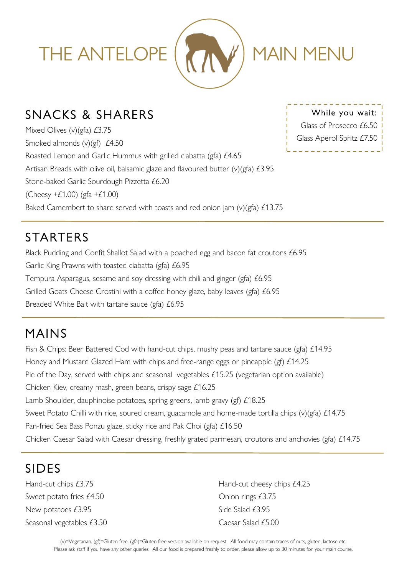

#### SNACKS & SHARERS

Mixed Olives (v)(gfa) £3.75 Smoked almonds (v)(gf) £4.50 Roasted Lemon and Garlic Hummus with grilled ciabatta (gfa) £4.65 Artisan Breads with olive oil, balsamic glaze and flavoured butter (v)(gfa) £3.95 Stone-baked Garlic Sourdough Pizzetta £6.20 (Cheesy  $+£1.00$ ) (gfa  $+£1.00$ ) Baked Camembert to share served with toasts and red onion jam (v)(gfa) £13.75

While you wait: Glass of Prosecco £6.50 Glass Aperol Spritz £7.50

# **STARTERS**

Black Pudding and Confit Shallot Salad with a poached egg and bacon fat croutons £6.95 Garlic King Prawns with toasted ciabatta (gfa) £6.95 Tempura Asparagus, sesame and soy dressing with chili and ginger (gfa) £6.95 Grilled Goats Cheese Crostini with a coffee honey glaze, baby leaves (gfa) £6.95 Breaded White Bait with tartare sauce (gfa) £6.95

### MAINS

Fish & Chips: Beer Battered Cod with hand-cut chips, mushy peas and tartare sauce (gfa) £14.95 Honey and Mustard Glazed Ham with chips and free-range eggs or pineapple (gf) £14.25 Pie of the Day, served with chips and seasonal vegetables £15.25 (vegetarian option available) Chicken Kiev, creamy mash, green beans, crispy sage £16.25 Lamb Shoulder, dauphinoise potatoes, spring greens, lamb gravy (gf) £18.25 Sweet Potato Chilli with rice, soured cream, guacamole and home-made tortilla chips (v)(gfa) £14.75 Pan-fried Sea Bass Ponzu glaze, sticky rice and Pak Choi (gfa) £16.50 Chicken Caesar Salad with Caesar dressing, freshly grated parmesan, croutons and anchovies (gfa) £14.75

### SIDES

Sweet potato fries £4.50 Chion rings £3.75 New potatoes £3.95 Side Salad £3.95 Seasonal vegetables £3.50 Caesar Salad £5.00

Hand-cut chips £3.75 Hand-cut cheesy chips £4.25